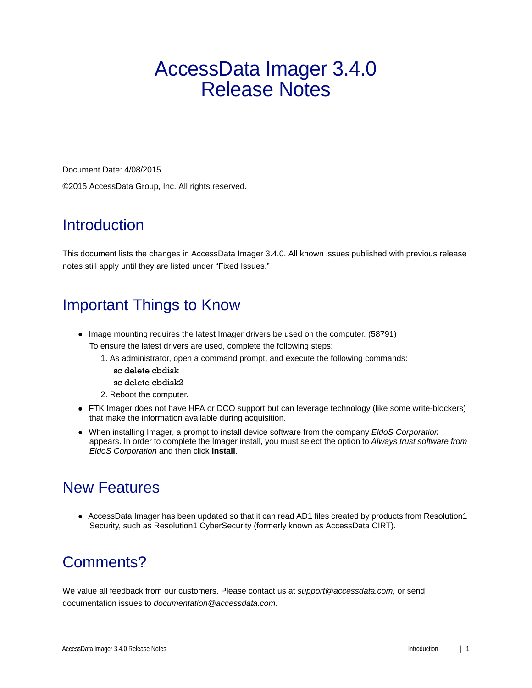## AccessData Imager 3.4.0 Release Notes

Document Date: 4/08/2015 ©2015 AccessData Group, Inc. All rights reserved.

#### **Introduction**

This document lists the changes in AccessData Imager 3.4.0. All known issues published with previous release notes still apply until they are listed under "Fixed Issues."

### Important Things to Know

- Image mounting requires the latest Imager drivers be used on the computer. (58791) To ensure the latest drivers are used, complete the following steps:
	- 1. As administrator, open a command prompt, and execute the following commands:
		- sc delete cbdisk
		- sc delete cbdisk2
	- 2. Reboot the computer.
- FTK Imager does not have HPA or DCO support but can leverage technology (like some write-blockers) that make the information available during acquisition.
- When installing Imager, a prompt to install device software from the company *EldoS Corporation*  appears. In order to complete the Imager install, you must select the option to *Always trust software from EldoS Corporation* and then click **Install**.

### New Features

AccessData Imager has been updated so that it can read AD1 files created by products from Resolution1 Security, such as Resolution1 CyberSecurity (formerly known as AccessData CIRT).

## Comments?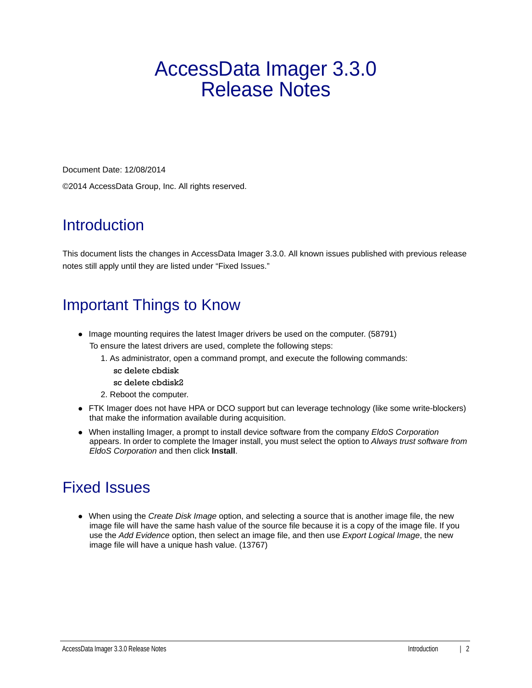## AccessData Imager 3.3.0 Release Notes

Document Date: 12/08/2014 ©2014 AccessData Group, Inc. All rights reserved.

#### **Introduction**

This document lists the changes in AccessData Imager 3.3.0. All known issues published with previous release notes still apply until they are listed under "Fixed Issues."

### Important Things to Know

- Image mounting requires the latest Imager drivers be used on the computer. (58791) To ensure the latest drivers are used, complete the following steps:
	- 1. As administrator, open a command prompt, and execute the following commands:
		- sc delete cbdisk
		- sc delete cbdisk2
	- 2. Reboot the computer.
- FTK Imager does not have HPA or DCO support but can leverage technology (like some write-blockers) that make the information available during acquisition.
- When installing Imager, a prompt to install device software from the company *EldoS Corporation*  appears. In order to complete the Imager install, you must select the option to *Always trust software from EldoS Corporation* and then click **Install**.

### Fixed Issues

When using the *Create Disk Image* option, and selecting a source that is another image file, the new image file will have the same hash value of the source file because it is a copy of the image file. If you use the *Add Evidence* option, then select an image file, and then use *Export Logical Image*, the new image file will have a unique hash value. (13767)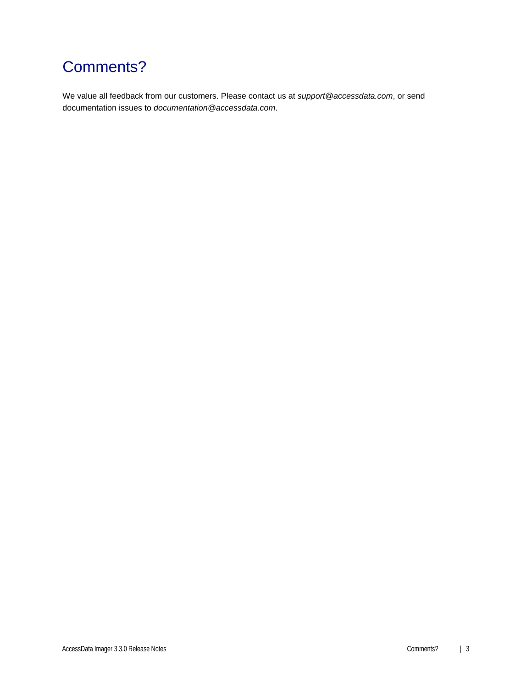## Comments?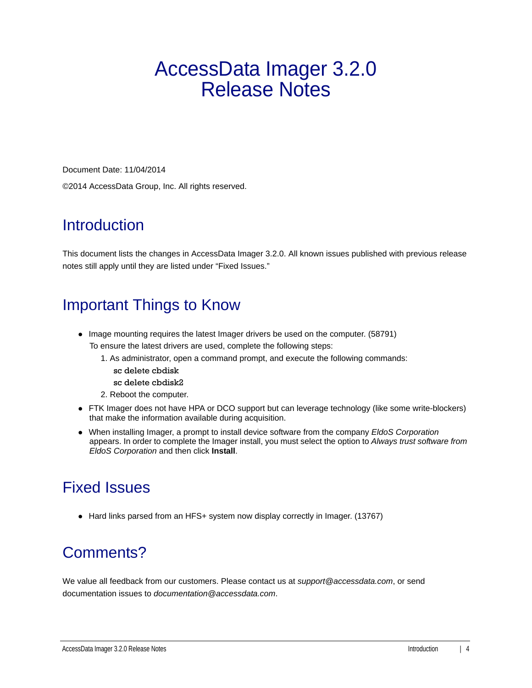## AccessData Imager 3.2.0 Release Notes

Document Date: 11/04/2014 ©2014 AccessData Group, Inc. All rights reserved.

#### **Introduction**

This document lists the changes in AccessData Imager 3.2.0. All known issues published with previous release notes still apply until they are listed under "Fixed Issues."

#### Important Things to Know

- Image mounting requires the latest Imager drivers be used on the computer. (58791) To ensure the latest drivers are used, complete the following steps:
	- 1. As administrator, open a command prompt, and execute the following commands:
		- sc delete cbdisk
		- sc delete cbdisk2
	- 2. Reboot the computer.
- FTK Imager does not have HPA or DCO support but can leverage technology (like some write-blockers) that make the information available during acquisition.
- When installing Imager, a prompt to install device software from the company *EldoS Corporation*  appears. In order to complete the Imager install, you must select the option to *Always trust software from EldoS Corporation* and then click **Install**.

### Fixed Issues

• Hard links parsed from an HFS+ system now display correctly in Imager. (13767)

### Comments?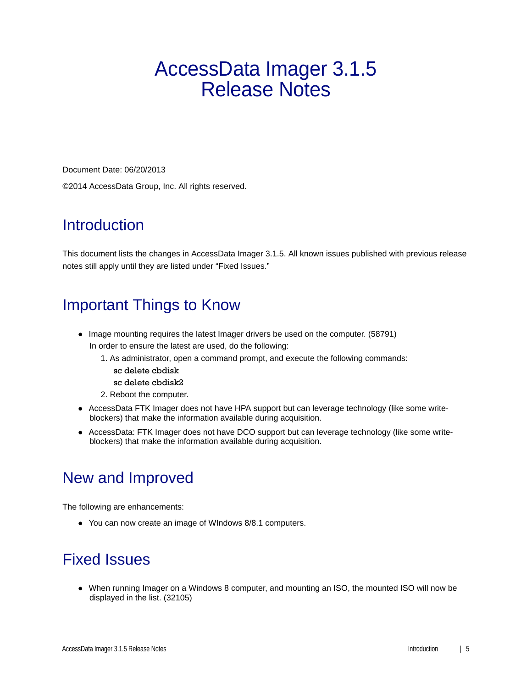## AccessData Imager 3.1.5 Release Notes

Document Date: 06/20/2013 ©2014 AccessData Group, Inc. All rights reserved.

#### **Introduction**

This document lists the changes in AccessData Imager 3.1.5. All known issues published with previous release notes still apply until they are listed under "Fixed Issues."

#### Important Things to Know

- Image mounting requires the latest Imager drivers be used on the computer. (58791) In order to ensure the latest are used, do the following:
	- 1. As administrator, open a command prompt, and execute the following commands:
		- sc delete cbdisk
		- sc delete cbdisk2
	- 2. Reboot the computer.
- AccessData FTK Imager does not have HPA support but can leverage technology (like some writeblockers) that make the information available during acquisition.
- AccessData: FTK Imager does not have DCO support but can leverage technology (like some writeblockers) that make the information available during acquisition.

### New and Improved

The following are enhancements:

You can now create an image of WIndows 8/8.1 computers.

### Fixed Issues

When running Imager on a Windows 8 computer, and mounting an ISO, the mounted ISO will now be displayed in the list. (32105)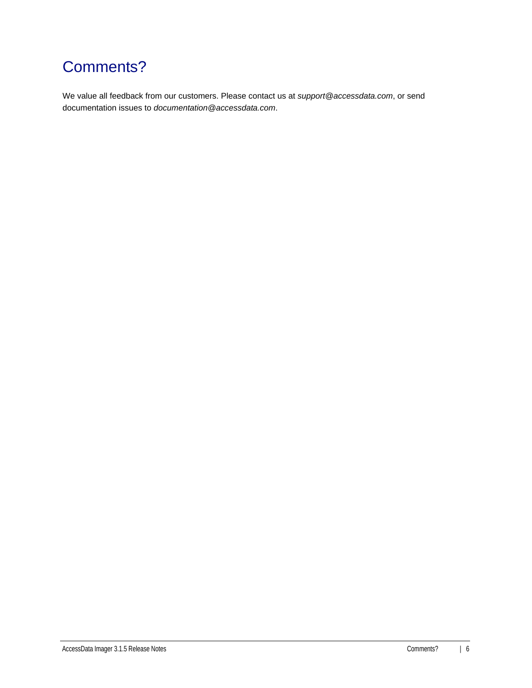## Comments?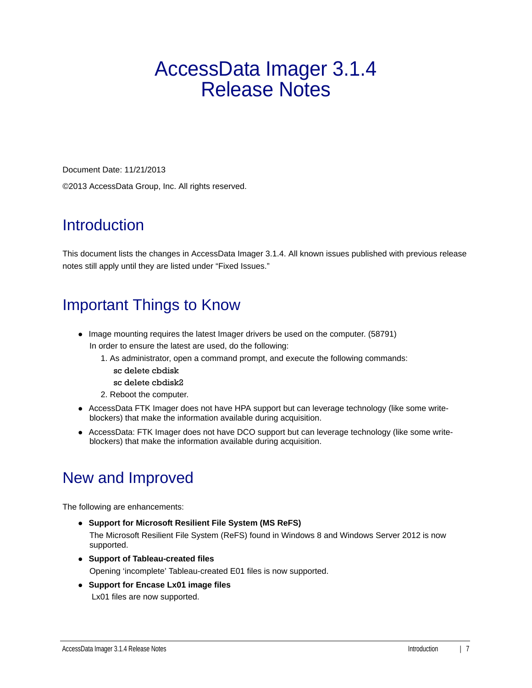## AccessData Imager 3.1.4 Release Notes

Document Date: 11/21/2013 ©2013 AccessData Group, Inc. All rights reserved.

#### **Introduction**

This document lists the changes in AccessData Imager 3.1.4. All known issues published with previous release notes still apply until they are listed under "Fixed Issues."

#### Important Things to Know

- Image mounting requires the latest Imager drivers be used on the computer. (58791) In order to ensure the latest are used, do the following:
	- 1. As administrator, open a command prompt, and execute the following commands:
		- sc delete cbdisk
		- sc delete cbdisk2
	- 2. Reboot the computer.
- AccessData FTK Imager does not have HPA support but can leverage technology (like some writeblockers) that make the information available during acquisition.
- AccessData: FTK Imager does not have DCO support but can leverage technology (like some writeblockers) that make the information available during acquisition.

### New and Improved

The following are enhancements:

- **Support for Microsoft Resilient File System (MS ReFS)** The Microsoft Resilient File System (ReFS) found in Windows 8 and Windows Server 2012 is now supported.
- **Support of Tableau-created files** Opening 'incomplete' Tableau-created E01 files is now supported.
- **Support for Encase Lx01 image files** Lx01 files are now supported.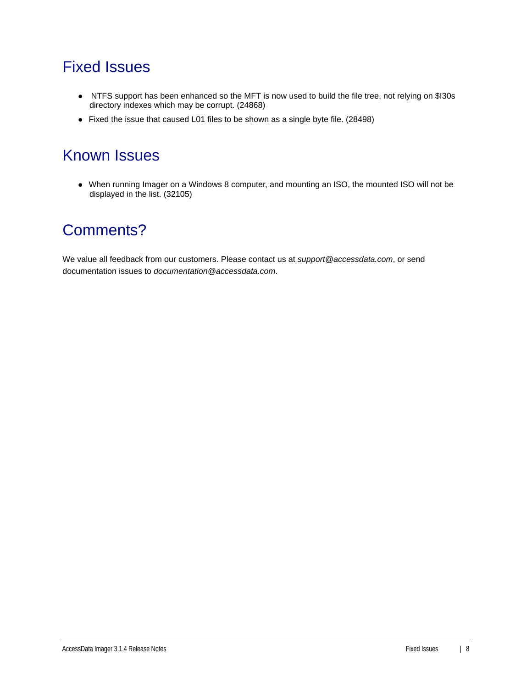#### Fixed Issues

- NTFS support has been enhanced so the MFT is now used to build the file tree, not relying on \$I30s directory indexes which may be corrupt. (24868)
- Fixed the issue that caused L01 files to be shown as a single byte file. (28498)

#### Known Issues

When running Imager on a Windows 8 computer, and mounting an ISO, the mounted ISO will not be displayed in the list. (32105)

#### Comments?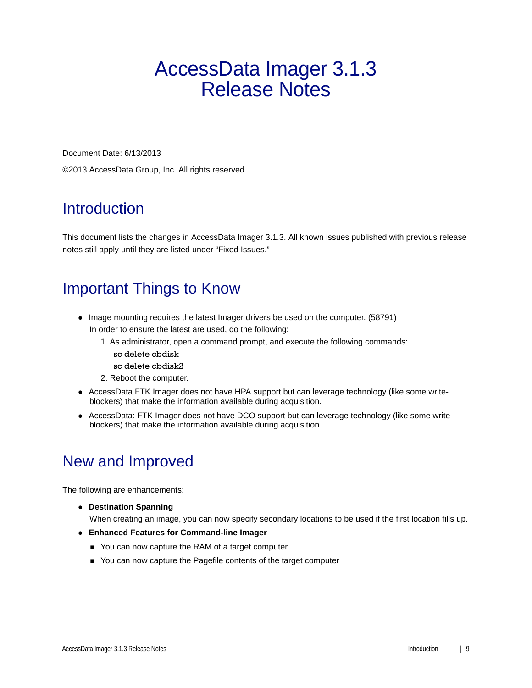## AccessData Imager 3.1.3 Release Notes

Document Date: 6/13/2013

©2013 AccessData Group, Inc. All rights reserved.

### Introduction

This document lists the changes in AccessData Imager 3.1.3. All known issues published with previous release notes still apply until they are listed under "Fixed Issues."

## Important Things to Know

- Image mounting requires the latest Imager drivers be used on the computer. (58791) In order to ensure the latest are used, do the following:
	- 1. As administrator, open a command prompt, and execute the following commands:
		- sc delete cbdisk
		- sc delete cbdisk2
	- 2. Reboot the computer.
- AccessData FTK Imager does not have HPA support but can leverage technology (like some writeblockers) that make the information available during acquisition.
- AccessData: FTK Imager does not have DCO support but can leverage technology (like some writeblockers) that make the information available during acquisition.

## New and Improved

The following are enhancements:

**Destination Spanning**

When creating an image, you can now specify secondary locations to be used if the first location fills up.

- **Enhanced Features for Command-line Imager**
	- You can now capture the RAM of a target computer
	- You can now capture the Pagefile contents of the target computer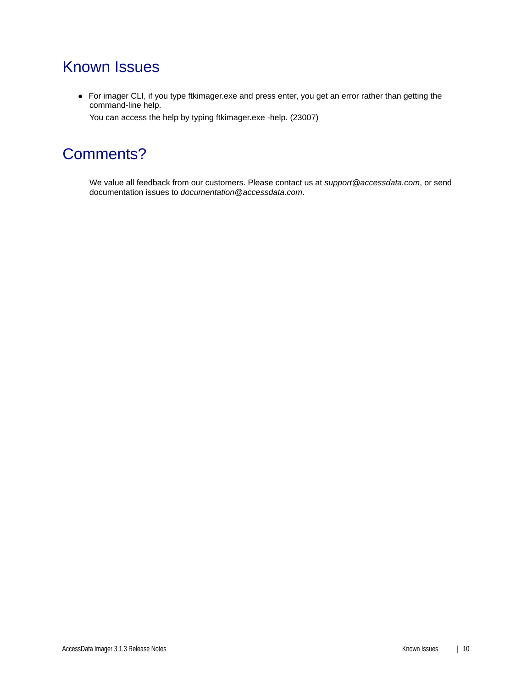#### Known Issues

For imager CLI, if you type ftkimager.exe and press enter, you get an error rather than getting the command-line help.

You can access the help by typing ftkimager.exe -help. (23007)

#### Comments?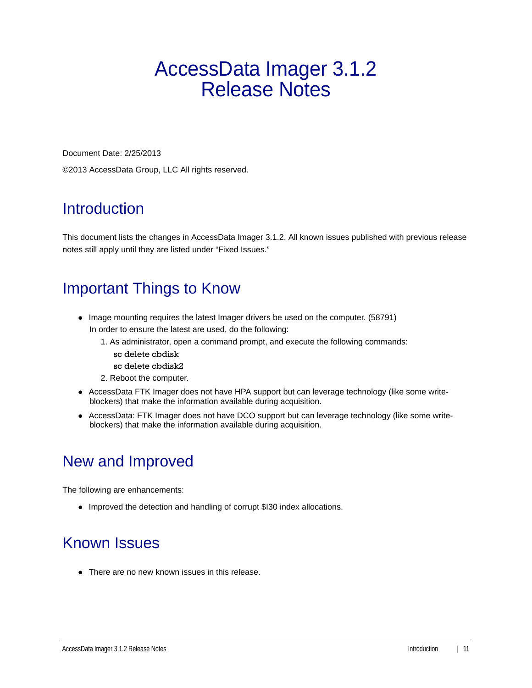## AccessData Imager 3.1.2 Release Notes

Document Date: 2/25/2013

©2013 AccessData Group, LLC All rights reserved.

### Introduction

This document lists the changes in AccessData Imager 3.1.2. All known issues published with previous release notes still apply until they are listed under "Fixed Issues."

## Important Things to Know

- Image mounting requires the latest Imager drivers be used on the computer. (58791) In order to ensure the latest are used, do the following:
	- 1. As administrator, open a command prompt, and execute the following commands:
		- sc delete cbdisk
		- sc delete cbdisk2
	- 2. Reboot the computer.
- AccessData FTK Imager does not have HPA support but can leverage technology (like some writeblockers) that make the information available during acquisition.
- AccessData: FTK Imager does not have DCO support but can leverage technology (like some writeblockers) that make the information available during acquisition.

### New and Improved

The following are enhancements:

• Improved the detection and handling of corrupt \$I30 index allocations.

### Known Issues

• There are no new known issues in this release.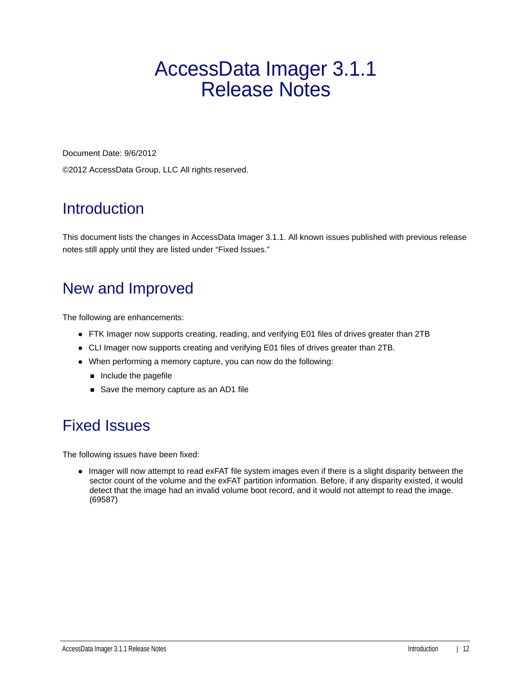## AccessData Imager 3.1.1 Release Notes

Document Date: 9/6/2012

©2012 AccessData Group, LLC All rights reserved.

## Introduction

This document lists the changes in AccessData Imager 3.1.1. All known issues published with previous release notes still apply until they are listed under "Fixed Issues."

## New and Improved

The following are enhancements:

- FTK Imager now supports creating, reading, and verifying E01 files of drives greater than 2TB
- CLI Imager now supports creating and verifying E01 files of drives greater than 2TB.
- When performing a memory capture, you can now do the following:
	- $\blacksquare$  Include the pagefile
	- Save the memory capture as an AD1 file

### Fixed Issues

The following issues have been fixed:

• Imager will now attempt to read exFAT file system images even if there is a slight disparity between the sector count of the volume and the exFAT partition information. Before, if any disparity existed, it would detect that the image had an invalid volume boot record, and it would not attempt to read the image. (69587)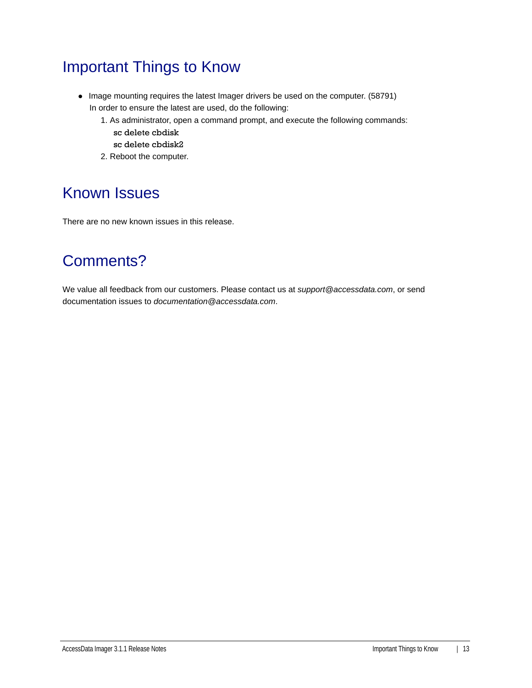### Important Things to Know

- Image mounting requires the latest Imager drivers be used on the computer. (58791) In order to ensure the latest are used, do the following:
	- 1. As administrator, open a command prompt, and execute the following commands: sc delete cbdisk
		- sc delete cbdisk2
	- 2. Reboot the computer.

#### Known Issues

There are no new known issues in this release.

## Comments?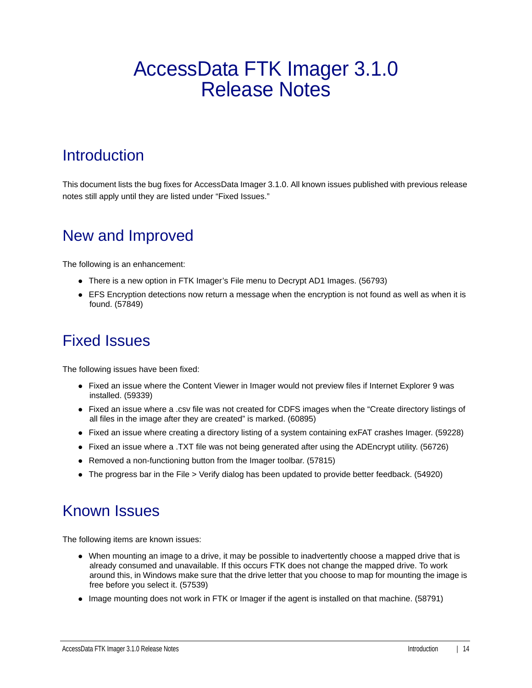## AccessData FTK Imager 3.1.0 Release Notes

#### **Introduction**

This document lists the bug fixes for AccessData Imager 3.1.0. All known issues published with previous release notes still apply until they are listed under "Fixed Issues."

#### New and Improved

The following is an enhancement:

- There is a new option in FTK Imager's File menu to Decrypt AD1 Images. (56793)
- EFS Encryption detections now return a message when the encryption is not found as well as when it is found. (57849)

#### Fixed Issues

The following issues have been fixed:

- Fixed an issue where the Content Viewer in Imager would not preview files if Internet Explorer 9 was installed. (59339)
- Fixed an issue where a .csv file was not created for CDFS images when the "Create directory listings of all files in the image after they are created" is marked. (60895)
- Fixed an issue where creating a directory listing of a system containing exFAT crashes Imager. (59228)
- Fixed an issue where a .TXT file was not being generated after using the ADEncrypt utility. (56726)
- Removed a non-functioning button from the Imager toolbar. (57815)
- The progress bar in the File > Verify dialog has been updated to provide better feedback. (54920)

#### Known Issues

The following items are known issues:

- When mounting an image to a drive, it may be possible to inadvertently choose a mapped drive that is already consumed and unavailable. If this occurs FTK does not change the mapped drive. To work around this, in Windows make sure that the drive letter that you choose to map for mounting the image is free before you select it. (57539)
- Image mounting does not work in FTK or Imager if the agent is installed on that machine. (58791)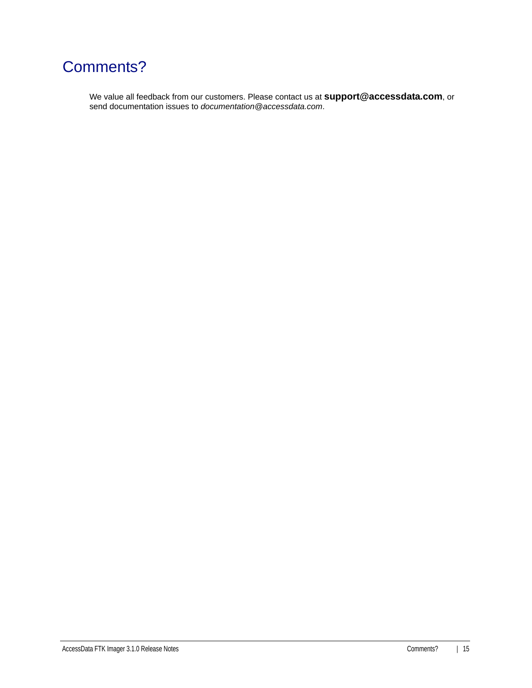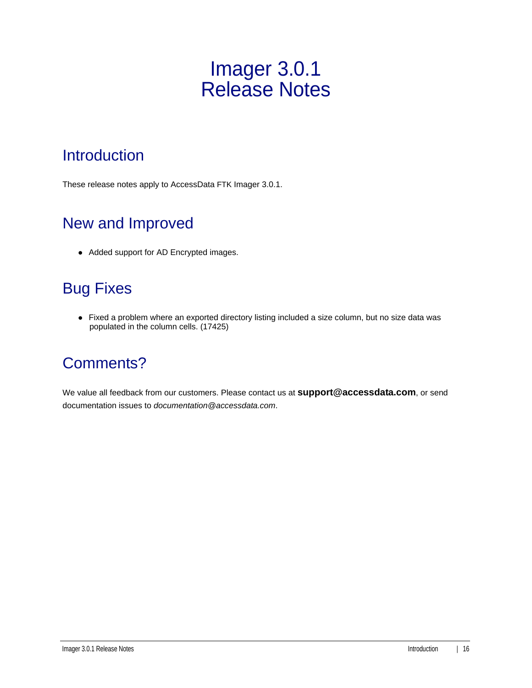# Imager 3.0.1 Release Notes

#### **Introduction**

These release notes apply to AccessData FTK Imager 3.0.1.

### New and Improved

• Added support for AD Encrypted images.

## Bug Fixes

Fixed a problem where an exported directory listing included a size column, but no size data was populated in the column cells. (17425)

## Comments?